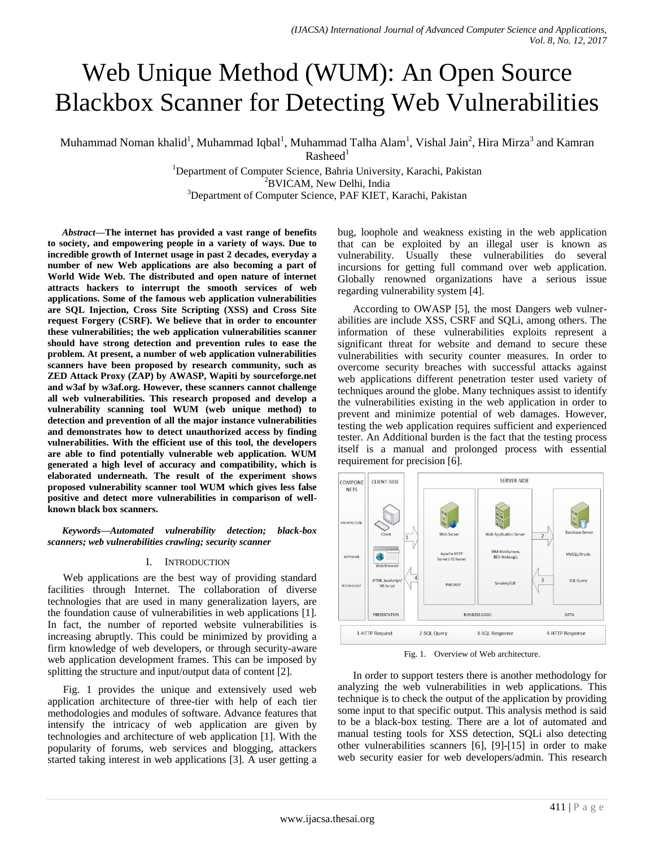# Web Unique Method (WUM): An Open Source Blackbox Scanner for Detecting Web Vulnerabilities

Muhammad Noman khalid<sup>1</sup>, Muhammad Iqbal<sup>1</sup>, Muhammad Talha Alam<sup>1</sup>, Vishal Jain<sup>2</sup>, Hira Mirza<sup>3</sup> and Kamran  $R$ asheed<sup>1</sup>

> <sup>1</sup>Department of Computer Science, Bahria University, Karachi, Pakistan <sup>2</sup>BVICAM, New Delhi, India <sup>3</sup>Department of Computer Science, PAF KIET, Karachi, Pakistan

*Abstract***—The internet has provided a vast range of benefits to society, and empowering people in a variety of ways. Due to incredible growth of Internet usage in past 2 decades, everyday a number of new Web applications are also becoming a part of World Wide Web. The distributed and open nature of internet attracts hackers to interrupt the smooth services of web applications. Some of the famous web application vulnerabilities are SQL Injection, Cross Site Scripting (XSS) and Cross Site request Forgery (CSRF). We believe that in order to encounter these vulnerabilities; the web application vulnerabilities scanner should have strong detection and prevention rules to ease the problem. At present, a number of web application vulnerabilities scanners have been proposed by research community, such as ZED Attack Proxy (ZAP) by AWASP, Wapiti by sourceforge.net and w3af by w3af.org. However, these scanners cannot challenge all web vulnerabilities. This research proposed and develop a vulnerability scanning tool WUM (web unique method) to detection and prevention of all the major instance vulnerabilities and demonstrates how to detect unauthorized access by finding vulnerabilities. With the efficient use of this tool, the developers are able to find potentially vulnerable web application. WUM generated a high level of accuracy and compatibility, which is elaborated underneath. The result of the experiment shows proposed vulnerability scanner tool WUM which gives less false positive and detect more vulnerabilities in comparison of wellknown black box scanners.**

*Keywords—Automated vulnerability detection; black-box scanners; web vulnerabilities crawling; security scanner*

#### I. INTRODUCTION

Web applications are the best way of providing standard facilities through Internet. The collaboration of diverse technologies that are used in many generalization layers, are the foundation cause of vulnerabilities in web applications [1]. In fact, the number of reported website vulnerabilities is increasing abruptly. This could be minimized by providing a firm knowledge of web developers, or through security-aware web application development frames. This can be imposed by splitting the structure and input/output data of content [2].

Fig. 1 provides the unique and extensively used web application architecture of three-tier with help of each tier methodologies and modules of software. Advance features that intensify the intricacy of web application are given by technologies and architecture of web application [1]. With the popularity of forums, web services and blogging, attackers started taking interest in web applications [3]. A user getting a bug, loophole and weakness existing in the web application that can be exploited by an illegal user is known as vulnerability. Usually these vulnerabilities do several incursions for getting full command over web application. Globally renowned organizations have a serious issue regarding vulnerability system [4].

According to OWASP [5], the most Dangers web vulnerabilities are include XSS, CSRF and SQLi, among others. The information of these vulnerabilities exploits represent a significant threat for website and demand to secure these vulnerabilities with security counter measures. In order to overcome security breaches with successful attacks against web applications different penetration tester used variety of techniques around the globe. Many techniques assist to identify the vulnerabilities existing in the web application in order to prevent and minimize potential of web damages. However, testing the web application requires sufficient and experienced tester. An Additional burden is the fact that the testing process itself is a manual and prolonged process with essential requirement for precision [6].



Fig. 1. Overview of Web architecture.

In order to support testers there is another methodology for analyzing the web vulnerabilities in web applications. This technique is to check the output of the application by providing some input to that specific output. This analysis method is said to be a black-box testing. There are a lot of automated and manual testing tools for XSS detection, SQLi also detecting other vulnerabilities scanners [6], [9]-[15] in order to make web security easier for web developers/admin. This research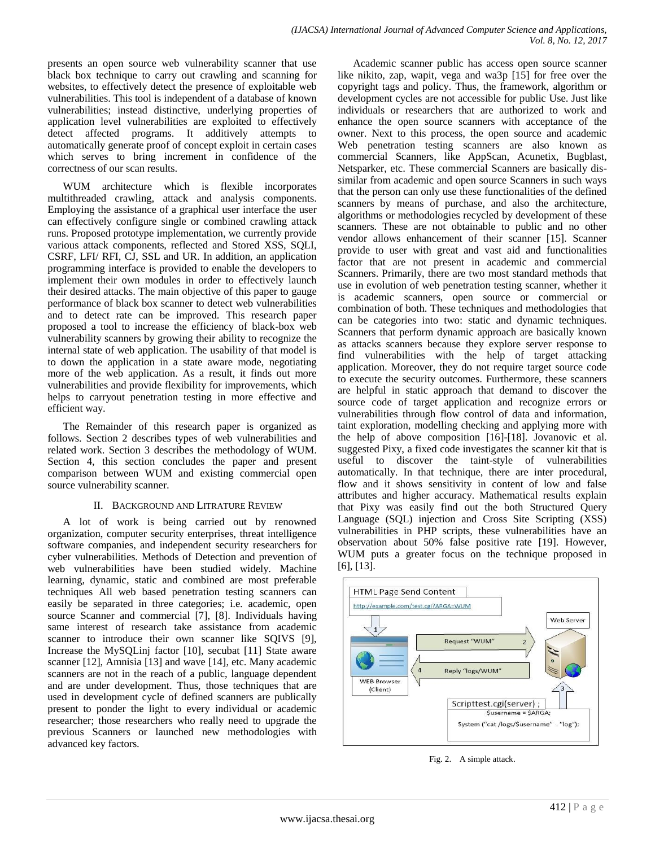presents an open source web vulnerability scanner that use black box technique to carry out crawling and scanning for websites, to effectively detect the presence of exploitable web vulnerabilities. This tool is independent of a database of known vulnerabilities; instead distinctive, underlying properties of application level vulnerabilities are exploited to effectively detect affected programs. It additively attempts to automatically generate proof of concept exploit in certain cases which serves to bring increment in confidence of the correctness of our scan results.

WUM architecture which is flexible incorporates multithreaded crawling, attack and analysis components. Employing the assistance of a graphical user interface the user can effectively configure single or combined crawling attack runs. Proposed prototype implementation, we currently provide various attack components, reflected and Stored XSS, SQLI, CSRF, LFI/ RFI, CJ, SSL and UR. In addition, an application programming interface is provided to enable the developers to implement their own modules in order to effectively launch their desired attacks. The main objective of this paper to gauge performance of black box scanner to detect web vulnerabilities and to detect rate can be improved. This research paper proposed a tool to increase the efficiency of black-box web vulnerability scanners by growing their ability to recognize the internal state of web application. The usability of that model is to down the application in a state aware mode, negotiating more of the web application. As a result, it finds out more vulnerabilities and provide flexibility for improvements, which helps to carryout penetration testing in more effective and efficient way.

The Remainder of this research paper is organized as follows. Section 2 describes types of web vulnerabilities and related work. Section 3 describes the methodology of WUM. Section 4, this section concludes the paper and present comparison between WUM and existing commercial open source vulnerability scanner.

## II. BACKGROUND AND LITRATURE REVIEW

A lot of work is being carried out by renowned organization, computer security enterprises, threat intelligence software companies, and independent security researchers for cyber vulnerabilities. Methods of Detection and prevention of web vulnerabilities have been studied widely. Machine learning, dynamic, static and combined are most preferable techniques All web based penetration testing scanners can easily be separated in three categories; i.e. academic, open source Scanner and commercial [7], [8]. Individuals having same interest of research take assistance from academic scanner to introduce their own scanner like SQIVS [9], Increase the MySQLinj factor [10], secubat [11] State aware scanner [12], Amnisia [13] and wave [14], etc. Many academic scanners are not in the reach of a public, language dependent and are under development. Thus, those techniques that are used in development cycle of defined scanners are publically present to ponder the light to every individual or academic researcher; those researchers who really need to upgrade the previous Scanners or launched new methodologies with advanced key factors.

Academic scanner public has access open source scanner like nikito, zap, wapit, vega and wa3p [15] for free over the copyright tags and policy. Thus, the framework, algorithm or development cycles are not accessible for public Use. Just like individuals or researchers that are authorized to work and enhance the open source scanners with acceptance of the owner. Next to this process, the open source and academic Web penetration testing scanners are also known as commercial Scanners, like AppScan, Acunetix, Bugblast, Netsparker, etc. These commercial Scanners are basically dissimilar from academic and open source Scanners in such ways that the person can only use these functionalities of the defined scanners by means of purchase, and also the architecture, algorithms or methodologies recycled by development of these scanners. These are not obtainable to public and no other vendor allows enhancement of their scanner [15]. Scanner provide to user with great and vast aid and functionalities factor that are not present in academic and commercial Scanners. Primarily, there are two most standard methods that use in evolution of web penetration testing scanner, whether it is academic scanners, open source or commercial or combination of both. These techniques and methodologies that can be categories into two: static and dynamic techniques. Scanners that perform dynamic approach are basically known as attacks scanners because they explore server response to find vulnerabilities with the help of target attacking application. Moreover, they do not require target source code to execute the security outcomes. Furthermore, these scanners are helpful in static approach that demand to discover the source code of target application and recognize errors or vulnerabilities through flow control of data and information, taint exploration, modelling checking and applying more with the help of above composition [16]-[18]. Jovanovic et al. suggested Pixy, a fixed code investigates the scanner kit that is useful to discover the taint-style of vulnerabilities automatically. In that technique, there are inter procedural, flow and it shows sensitivity in content of low and false attributes and higher accuracy. Mathematical results explain that Pixy was easily find out the both Structured Query Language (SQL) injection and Cross Site Scripting (XSS) vulnerabilities in PHP scripts, these vulnerabilities have an observation about 50% false positive rate [19]. However, WUM puts a greater focus on the technique proposed in [6], [13].



Fig. 2. A simple attack.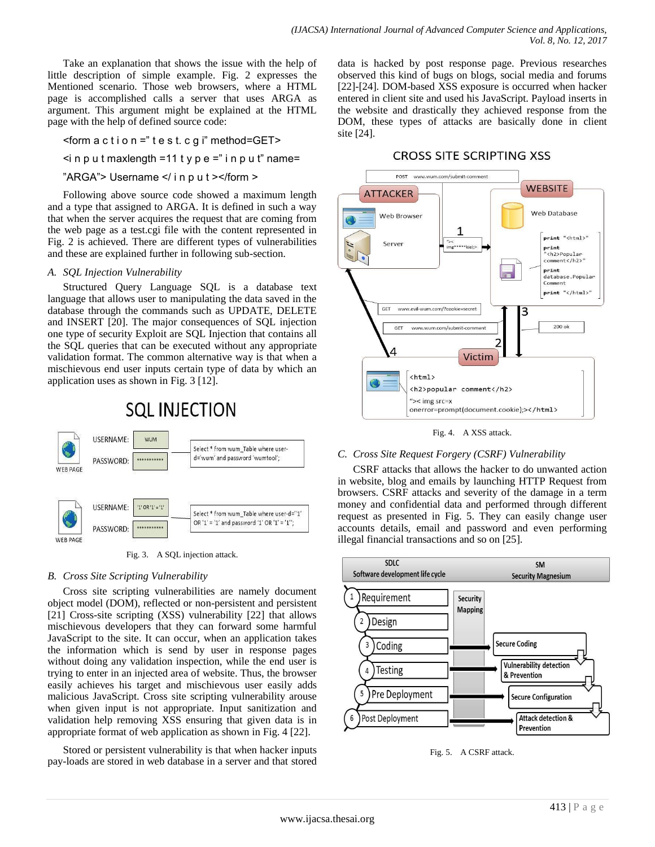Take an explanation that shows the issue with the help of little description of simple example. Fig. 2 expresses the Mentioned scenario. Those web browsers, where a HTML page is accomplished calls a server that uses ARGA as argument. This argument might be explained at the HTML page with the help of defined source code:

 $<$ form a c t i o n =" t e s t. c g i" method=GET>

 $\leq$  in p u t maxlength =11 t y p e =" i n p u t" name=

"ARGA"> Username </ i n p u t ></form >

Following above source code showed a maximum length and a type that assigned to ARGA. It is defined in such a way that when the server acquires the request that are coming from the web page as a test.cgi file with the content represented in Fig. 2 is achieved. There are different types of vulnerabilities and these are explained further in following sub-section.

## *A. SQL Injection Vulnerability*

Structured Query Language SQL is a database text language that allows user to manipulating the data saved in the database through the commands such as UPDATE, DELETE and INSERT [20]. The major consequences of SQL injection one type of security Exploit are SQL Injection that contains all the SQL queries that can be executed without any appropriate validation format. The common alternative way is that when a mischievous end user inputs certain type of data by which an application uses as shown in Fig. 3 [12].



Fig. 3. A SQL injection attack.

## *B. Cross Site Scripting Vulnerability*

Cross site scripting vulnerabilities are namely document object model (DOM), reflected or non-persistent and persistent [21] Cross-site scripting (XSS) vulnerability [22] that allows mischievous developers that they can forward some harmful JavaScript to the site. It can occur, when an application takes the information which is send by user in response pages without doing any validation inspection, while the end user is trying to enter in an injected area of website. Thus, the browser easily achieves his target and mischievous user easily adds malicious JavaScript. Cross site scripting vulnerability arouse when given input is not appropriate. Input sanitization and validation help removing XSS ensuring that given data is in appropriate format of web application as shown in Fig. 4 [22].

Stored or persistent vulnerability is that when hacker inputs pay-loads are stored in web database in a server and that stored data is hacked by post response page. Previous researches observed this kind of bugs on blogs, social media and forums [22]-[24]. DOM-based XSS exposure is occurred when hacker entered in client site and used his JavaScript. Payload inserts in the website and drastically they achieved response from the DOM, these types of attacks are basically done in client site [24].

# **CROSS SITE SCRIPTING XSS**



Fig. 4. A XSS attack.

## *C. Cross Site Request Forgery (CSRF) Vulnerability*

CSRF attacks that allows the hacker to do unwanted action in website, blog and emails by launching HTTP Request from browsers. CSRF attacks and severity of the damage in a term money and confidential data and performed through different request as presented in Fig. 5. They can easily change user accounts details, email and password and even performing illegal financial transactions and so on [25].



Fig. 5. A CSRF attack.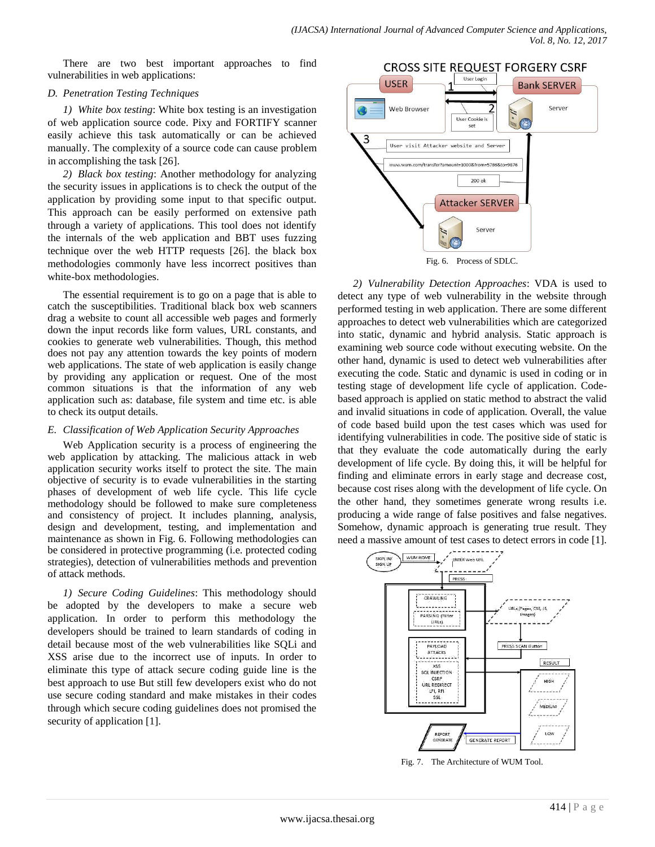There are two best important approaches to find vulnerabilities in web applications:

#### *D. Penetration Testing Techniques*

*1) White box testing*: White box testing is an investigation of web application source code. Pixy and FORTIFY scanner easily achieve this task automatically or can be achieved manually. The complexity of a source code can cause problem in accomplishing the task [26].

*2) Black box testing*: Another methodology for analyzing the security issues in applications is to check the output of the application by providing some input to that specific output. This approach can be easily performed on extensive path through a variety of applications. This tool does not identify the internals of the web application and BBT uses fuzzing technique over the web HTTP requests [26]. the black box methodologies commonly have less incorrect positives than white-box methodologies.

The essential requirement is to go on a page that is able to catch the susceptibilities. Traditional black box web scanners drag a website to count all accessible web pages and formerly down the input records like form values, URL constants, and cookies to generate web vulnerabilities. Though, this method does not pay any attention towards the key points of modern web applications. The state of web application is easily change by providing any application or request. One of the most common situations is that the information of any web application such as: database, file system and time etc. is able to check its output details.

## *E. Classification of Web Application Security Approaches*

Web Application security is a process of engineering the web application by attacking. The malicious attack in web application security works itself to protect the site. The main objective of security is to evade vulnerabilities in the starting phases of development of web life cycle. This life cycle methodology should be followed to make sure completeness and consistency of project. It includes planning, analysis, design and development, testing, and implementation and maintenance as shown in Fig. 6. Following methodologies can be considered in protective programming (i.e. protected coding strategies), detection of vulnerabilities methods and prevention of attack methods.

*1) Secure Coding Guidelines*: This methodology should be adopted by the developers to make a secure web application. In order to perform this methodology the developers should be trained to learn standards of coding in detail because most of the web vulnerabilities like SQLi and XSS arise due to the incorrect use of inputs. In order to eliminate this type of attack secure coding guide line is the best approach to use But still few developers exist who do not use secure coding standard and make mistakes in their codes through which secure coding guidelines does not promised the security of application [1].



Fig. 6. Process of SDLC.

*2) Vulnerability Detection Approaches*: VDA is used to detect any type of web vulnerability in the website through performed testing in web application. There are some different approaches to detect web vulnerabilities which are categorized into static, dynamic and hybrid analysis. Static approach is examining web source code without executing website. On the other hand, dynamic is used to detect web vulnerabilities after executing the code. Static and dynamic is used in coding or in testing stage of development life cycle of application. Codebased approach is applied on static method to abstract the valid and invalid situations in code of application. Overall, the value of code based build upon the test cases which was used for identifying vulnerabilities in code. The positive side of static is that they evaluate the code automatically during the early development of life cycle. By doing this, it will be helpful for finding and eliminate errors in early stage and decrease cost, because cost rises along with the development of life cycle. On the other hand, they sometimes generate wrong results i.e. producing a wide range of false positives and false negatives. Somehow, dynamic approach is generating true result. They need a massive amount of test cases to detect errors in code [1].



Fig. 7. The Architecture of WUM Tool.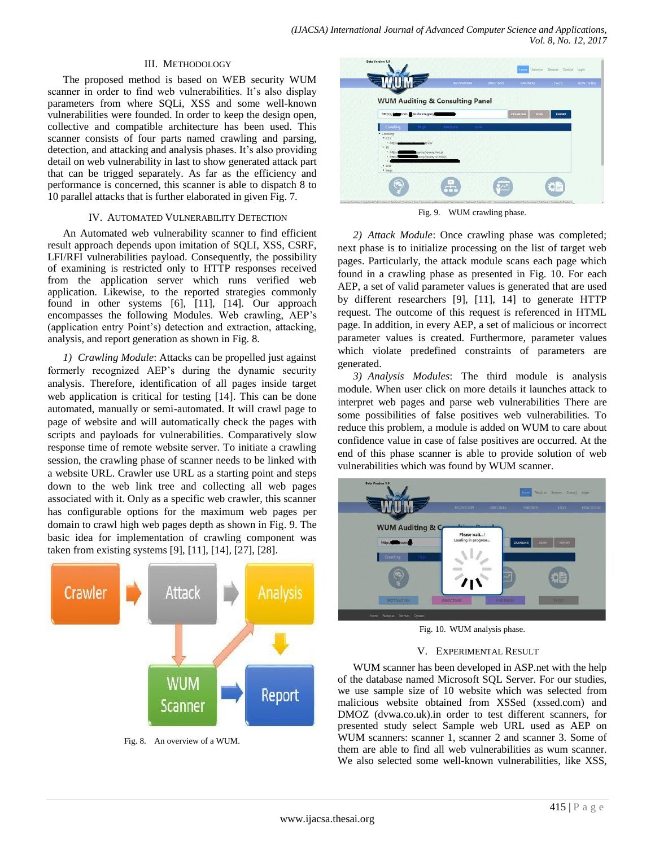#### III. METHODOLOGY

The proposed method is based on WEB security WUM scanner in order to find web vulnerabilities. It's also display parameters from where SQLi, XSS and some well-known vulnerabilities were founded. In order to keep the design open, collective and compatible architecture has been used. This scanner consists of four parts named crawling and parsing, detection, and attacking and analysis phases. It's also providing detail on web vulnerability in last to show generated attack part that can be trigged separately. As far as the efficiency and performance is concerned, this scanner is able to dispatch 8 to 10 parallel attacks that is further elaborated in given Fig. 7.

#### IV. AUTOMATED VULNERABILITY DETECTION

An Automated web vulnerability scanner to find efficient result approach depends upon imitation of SQLI, XSS, CSRF, LFI/RFI vulnerabilities payload. Consequently, the possibility of examining is restricted only to HTTP responses received from the application server which runs verified web application. Likewise, to the reported strategies commonly found in other systems [6], [11], [14]. Our approach encompasses the following Modules. Web crawling, AEP's (application entry Point's) detection and extraction, attacking, analysis, and report generation as shown in Fig. 8.

*1) Crawling Module*: Attacks can be propelled just against formerly recognized AEP's during the dynamic security analysis. Therefore, identification of all pages inside target web application is critical for testing [14]. This can be done automated, manually or semi-automated. It will crawl page to page of website and will automatically check the pages with scripts and payloads for vulnerabilities. Comparatively slow response time of remote website server. To initiate a crawling session, the crawling phase of scanner needs to be linked with a website URL. Crawler use URL as a starting point and steps down to the web link tree and collecting all web pages associated with it. Only as a specific web crawler, this scanner has configurable options for the maximum web pages per domain to crawl high web pages depth as shown in Fig. 9. The basic idea for implementation of crawling component was taken from existing systems [9], [11], [14], [27], [28].



Fig. 8. An overview of a WUM.

|                                              |                                            | <b>MOTIVATION</b> | <b>DUECTIVES</b> | <b>PARTNERS</b> |             | <b>FAQ'S</b>  | <b>HOW TO USE</b> |
|----------------------------------------------|--------------------------------------------|-------------------|------------------|-----------------|-------------|---------------|-------------------|
|                                              | <b>WUM Auditing &amp; Consulting Panel</b> |                   |                  |                 |             |               |                   |
| http://www.com.g/subcategory                 |                                            |                   |                  | <b>CRAWLING</b> | <b>SCAN</b> | <b>REPORT</b> |                   |
| Crawling<br>· Crawling                       | Medium<br>High                             | Low               |                  |                 |             |               |                   |
| $ \cos$<br>P http:                           | de css                                     |                   |                  |                 |             |               |                   |
| $-15$<br>$b$ http://                         | query/jquery.min.js                        |                   |                  |                 |             |               |                   |
| b http://                                    | uery/jquery-ui.min.js                      |                   |                  |                 |             |               |                   |
| $\blacktriangleright$ Link<br>$\bullet$ lmgs |                                            |                   |                  |                 |             |               |                   |

Fig. 9. WUM crawling phase.

*2) Attack Module*: Once crawling phase was completed; next phase is to initialize processing on the list of target web pages. Particularly, the attack module scans each page which found in a crawling phase as presented in Fig. 10. For each AEP, a set of valid parameter values is generated that are used by different researchers [9], [11], 14] to generate HTTP request. The outcome of this request is referenced in HTML page. In addition, in every AEP, a set of malicious or incorrect parameter values is created. Furthermore, parameter values which violate predefined constraints of parameters are generated.

*3) Analysis Modules*: The third module is analysis module. When user click on more details it launches attack to interpret web pages and parse web vulnerabilities There are some possibilities of false positives web vulnerabilities. To reduce this problem, a module is added on WUM to care about confidence value in case of false positives are occurred. At the end of this phase scanner is able to provide solution of web vulnerabilities which was found by WUM scanner.



Fig. 10. WUM analysis phase.

## V. EXPERIMENTAL RESULT

WUM scanner has been developed in ASP.net with the help of the database named Microsoft SQL Server. For our studies, we use sample size of 10 website which was selected from malicious website obtained from XSSed (xssed.com) and DMOZ (dvwa.co.uk).in order to test different scanners, for presented study select Sample web URL used as AEP on WUM scanners: scanner 1, scanner 2 and scanner 3, Some of them are able to find all web vulnerabilities as wum scanner. We also selected some well-known vulnerabilities, like XSS,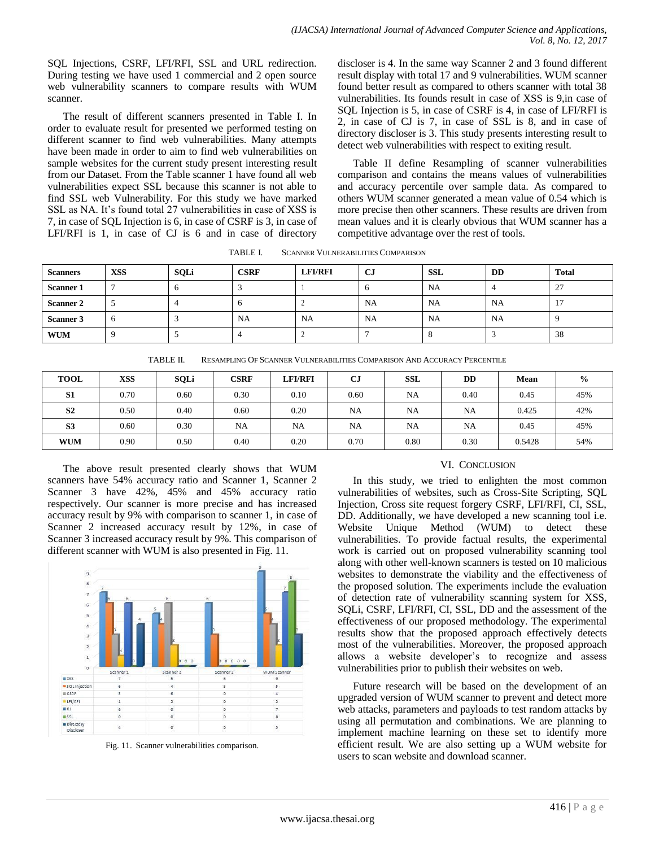SQL Injections, CSRF, LFI/RFI, SSL and URL redirection. During testing we have used 1 commercial and 2 open source web vulnerability scanners to compare results with WUM scanner.

The result of different scanners presented in Table I. In order to evaluate result for presented we performed testing on different scanner to find web vulnerabilities. Many attempts have been made in order to aim to find web vulnerabilities on sample websites for the current study present interesting result from our Dataset. From the Table scanner 1 have found all web vulnerabilities expect SSL because this scanner is not able to find SSL web Vulnerability. For this study we have marked SSL as NA. It's found total 27 vulnerabilities in case of XSS is 7, in case of SQL Injection is 6, in case of CSRF is 3, in case of LFI/RFI is 1, in case of CJ is 6 and in case of directory

discloser is 4. In the same way Scanner 2 and 3 found different result display with total 17 and 9 vulnerabilities. WUM scanner found better result as compared to others scanner with total 38 vulnerabilities. Its founds result in case of XSS is 9,in case of SQL Injection is 5, in case of CSRF is 4, in case of LFI/RFI is 2, in case of CJ is 7, in case of SSL is 8, and in case of directory discloser is 3. This study presents interesting result to detect web vulnerabilities with respect to exiting result.

Table II define Resampling of scanner vulnerabilities comparison and contains the means values of vulnerabilities and accuracy percentile over sample data. As compared to others WUM scanner generated a mean value of 0.54 which is more precise then other scanners. These results are driven from mean values and it is clearly obvious that WUM scanner has a competitive advantage over the rest of tools.

TABLE I. SCANNER VULNERABILITIES COMPARISON

| <b>Scanners</b>  | <b>XSS</b> | <b>SQLi</b> | <b>CSRF</b> | <b>LFI/RFI</b> | <b>CJ</b> | <b>SSL</b> | <b>DD</b> | Total              |
|------------------|------------|-------------|-------------|----------------|-----------|------------|-----------|--------------------|
| <b>Scanner 1</b> |            |             |             |                |           | NA         |           | 27<br>ر ک          |
| <b>Scanner 2</b> |            |             |             |                | <b>NA</b> | NA         | NA        | $\sim$<br><b>L</b> |
| Scanner 3        | $\sigma$   |             | NA          | <b>NA</b>      | <b>NA</b> | <b>NA</b>  | NA        |                    |
| <b>WUM</b>       |            |             |             |                |           |            |           | 38                 |

| TABLE II. | RESAMPLING OF SCANNER VULNERABILITIES COMPARISON AND ACCURACY PERCENTILE |  |
|-----------|--------------------------------------------------------------------------|--|
|           |                                                                          |  |

| <b>TOOL</b>    | <b>XSS</b> | <b>SQLi</b> | <b>CSRF</b> | <b>LFI/RFI</b> | $_{\rm CJ}$ | <b>SSL</b> | DD   | Mean   | $\frac{6}{9}$ |
|----------------|------------|-------------|-------------|----------------|-------------|------------|------|--------|---------------|
| S <sub>1</sub> | 0.70       | 0.60        | 0.30        | 0.10           | 0.60        | NA         | 0.40 | 0.45   | 45%           |
| S <sub>2</sub> | 0.50       | 0.40        | 0.60        | 0.20           | NA          | NA         | NA   | 0.425  | 42%           |
| S <sub>3</sub> | 0.60       | 0.30        | NA          | <b>NA</b>      | <b>NA</b>   | NA         | NA   | 0.45   | 45%           |
| <b>WUM</b>     | 0.90       | 0.50        | 0.40        | 0.20           | 0.70        | 0.80       | 0.30 | 0.5428 | 54%           |

The above result presented clearly shows that WUM scanners have 54% accuracy ratio and Scanner 1, Scanner 2 Scanner 3 have 42%, 45% and 45% accuracy ratio respectively. Our scanner is more precise and has increased accuracy result by 9% with comparison to scanner 1, in case of Scanner 2 increased accuracy result by 12%, in case of Scanner 3 increased accuracy result by 9%. This comparison of different scanner with WUM is also presented in Fig. 11.



Fig. 11. Scanner vulnerabilities comparison.

#### VI. CONCLUSION

In this study, we tried to enlighten the most common vulnerabilities of websites, such as Cross-Site Scripting, SQL Injection, Cross site request forgery CSRF, LFI/RFI, CI, SSL, DD. Additionally, we have developed a new scanning tool i.e. Website Unique Method (WUM) to detect these vulnerabilities. To provide factual results, the experimental work is carried out on proposed vulnerability scanning tool along with other well-known scanners is tested on 10 malicious websites to demonstrate the viability and the effectiveness of the proposed solution. The experiments include the evaluation of detection rate of vulnerability scanning system for XSS, SQLi, CSRF, LFI/RFI, CI, SSL, DD and the assessment of the effectiveness of our proposed methodology. The experimental results show that the proposed approach effectively detects most of the vulnerabilities. Moreover, the proposed approach allows a website developer's to recognize and assess vulnerabilities prior to publish their websites on web.

Future research will be based on the development of an upgraded version of WUM scanner to prevent and detect more web attacks, parameters and payloads to test random attacks by using all permutation and combinations. We are planning to implement machine learning on these set to identify more efficient result. We are also setting up a WUM website for users to scan website and download scanner.